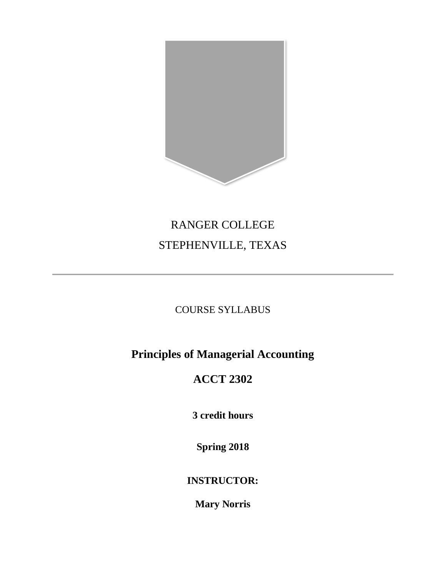

# RANGER COLLEGE STEPHENVILLE, TEXAS

# COURSE SYLLABUS

# **Principles of Managerial Accounting**

# **ACCT 2302**

**3 credit hours**

**Spring 2018**

**INSTRUCTOR:**

**Mary Norris**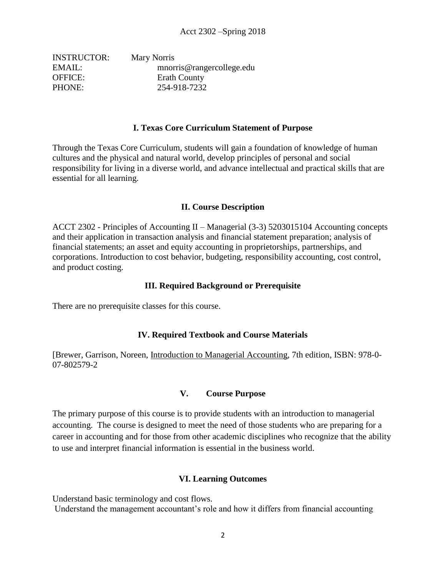| Mary Norris               |
|---------------------------|
| mnorris@rangercollege.edu |
| <b>Erath County</b>       |
| 254-918-7232              |
|                           |

#### **I. Texas Core Curriculum Statement of Purpose**

Through the Texas Core Curriculum, students will gain a foundation of knowledge of human cultures and the physical and natural world, develop principles of personal and social responsibility for living in a diverse world, and advance intellectual and practical skills that are essential for all learning.

#### **II. Course Description**

ACCT 2302 - Principles of Accounting II – Managerial (3-3) 5203015104 Accounting concepts and their application in transaction analysis and financial statement preparation; analysis of financial statements; an asset and equity accounting in proprietorships, partnerships, and corporations. Introduction to cost behavior, budgeting, responsibility accounting, cost control, and product costing.

#### **III. Required Background or Prerequisite**

There are no prerequisite classes for this course.

#### **IV. Required Textbook and Course Materials**

[Brewer, Garrison, Noreen, Introduction to Managerial Accounting, 7th edition, ISBN: 978-0- 07-802579-2

#### **V. Course Purpose**

The primary purpose of this course is to provide students with an introduction to managerial accounting. The course is designed to meet the need of those students who are preparing for a career in accounting and for those from other academic disciplines who recognize that the ability to use and interpret financial information is essential in the business world.

#### **VI. Learning Outcomes**

Understand basic terminology and cost flows.

Understand the management accountant's role and how it differs from financial accounting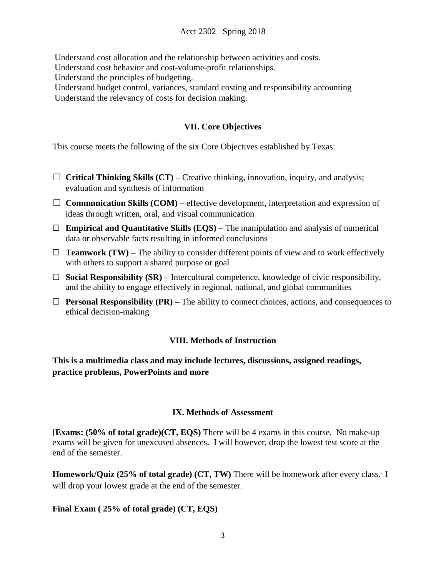### Acct 2302 –Spring 2018

Understand cost allocation and the relationship between activities and costs.

Understand cost behavior and cost-volume-profit relationships.

Understand the principles of budgeting.

Understand budget control, variances, standard costing and responsibility accounting Understand the relevancy of costs for decision making.

## **VII. Core Objectives**

This course meets the following of the six Core Objectives established by Texas:

- ☐ **Critical Thinking Skills (CT) –** Creative thinking, innovation, inquiry, and analysis; evaluation and synthesis of information
- ☐ **Communication Skills (COM) –** effective development, interpretation and expression of ideas through written, oral, and visual communication
- ☐ **Empirical and Quantitative Skills (EQS) –** The manipulation and analysis of numerical data or observable facts resulting in informed conclusions
- $\Box$  **Teamwork (TW)** The ability to consider different points of view and to work effectively with others to support a shared purpose or goal
- ☐ **Social Responsibility (SR) –** Intercultural competence, knowledge of civic responsibility, and the ability to engage effectively in regional, national, and global communities
- ☐ **Personal Responsibility (PR) –** The ability to connect choices, actions, and consequences to ethical decision-making

### **VIII. Methods of Instruction**

**This is a multimedia class and may include lectures, discussions, assigned readings, practice problems, PowerPoints and more**

### **IX. Methods of Assessment**

[**Exams: (50% of total grade)(CT, EQS)** There will be 4 exams in this course. No make-up exams will be given for unexcused absences. I will however, drop the lowest test score at the end of the semester.

**Homework/Quiz (25% of total grade) (CT, TW)** There will be homework after every class. I will drop your lowest grade at the end of the semester.

### **Final Exam ( 25% of total grade) (CT, EQS)**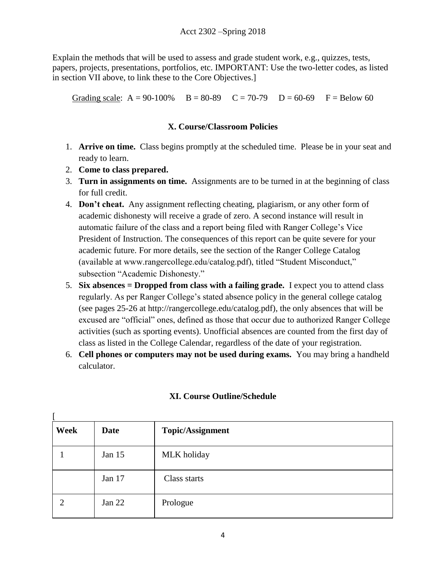Explain the methods that will be used to assess and grade student work, e.g., quizzes, tests, papers, projects, presentations, portfolios, etc. IMPORTANT: Use the two-letter codes, as listed in section VII above, to link these to the Core Objectives.]

Grading scale:  $A = 90-100\%$   $B = 80-89$   $C = 70-79$   $D = 60-69$   $F = Below 60$ 

# **X. Course/Classroom Policies**

- 1. **Arrive on time.** Class begins promptly at the scheduled time. Please be in your seat and ready to learn.
- 2. **Come to class prepared.**

[

- 3. **Turn in assignments on time.** Assignments are to be turned in at the beginning of class for full credit.
- 4. **Don't cheat.** Any assignment reflecting cheating, plagiarism, or any other form of academic dishonesty will receive a grade of zero. A second instance will result in automatic failure of the class and a report being filed with Ranger College's Vice President of Instruction. The consequences of this report can be quite severe for your academic future. For more details, see the section of the Ranger College Catalog (available at www.rangercollege.edu/catalog.pdf), titled "Student Misconduct," subsection "Academic Dishonesty."
- 5. **Six absences = Dropped from class with a failing grade.** I expect you to attend class regularly. As per Ranger College's stated absence policy in the general college catalog (see pages 25-26 at http://rangercollege.edu/catalog.pdf), the only absences that will be excused are "official" ones, defined as those that occur due to authorized Ranger College activities (such as sporting events). Unofficial absences are counted from the first day of class as listed in the College Calendar, regardless of the date of your registration.
- 6. **Cell phones or computers may not be used during exams.** You may bring a handheld calculator.

| Week | Date   | <b>Topic/Assignment</b> |
|------|--------|-------------------------|
|      | Jan 15 | MLK holiday             |
|      | Jan 17 | Class starts            |
| 2    | Jan 22 | Prologue                |

# **XI. Course Outline/Schedule**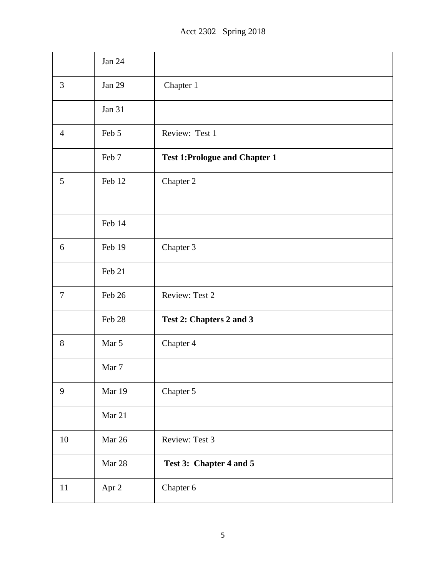|                  | <b>Jan 24</b> |                                      |
|------------------|---------------|--------------------------------------|
| 3                | <b>Jan 29</b> | Chapter 1                            |
|                  | <b>Jan 31</b> |                                      |
| $\overline{4}$   | Feb 5         | Review: Test 1                       |
|                  | Feb 7         | <b>Test 1:Prologue and Chapter 1</b> |
| 5                | Feb 12        | Chapter 2                            |
|                  |               |                                      |
|                  | Feb 14        |                                      |
| 6                | Feb 19        | Chapter 3                            |
|                  | Feb 21        |                                      |
| $\boldsymbol{7}$ | Feb 26        | Review: Test 2                       |
|                  | Feb 28        | Test 2: Chapters 2 and 3             |
| 8                | Mar 5         | Chapter 4                            |
|                  | Mar 7         |                                      |
| 9                | Mar 19        | Chapter 5                            |
|                  | Mar 21        |                                      |
| $10\,$           | Mar 26        | Review: Test 3                       |
|                  | Mar 28        | Test 3: Chapter 4 and 5              |
| 11               | Apr 2         | Chapter 6                            |